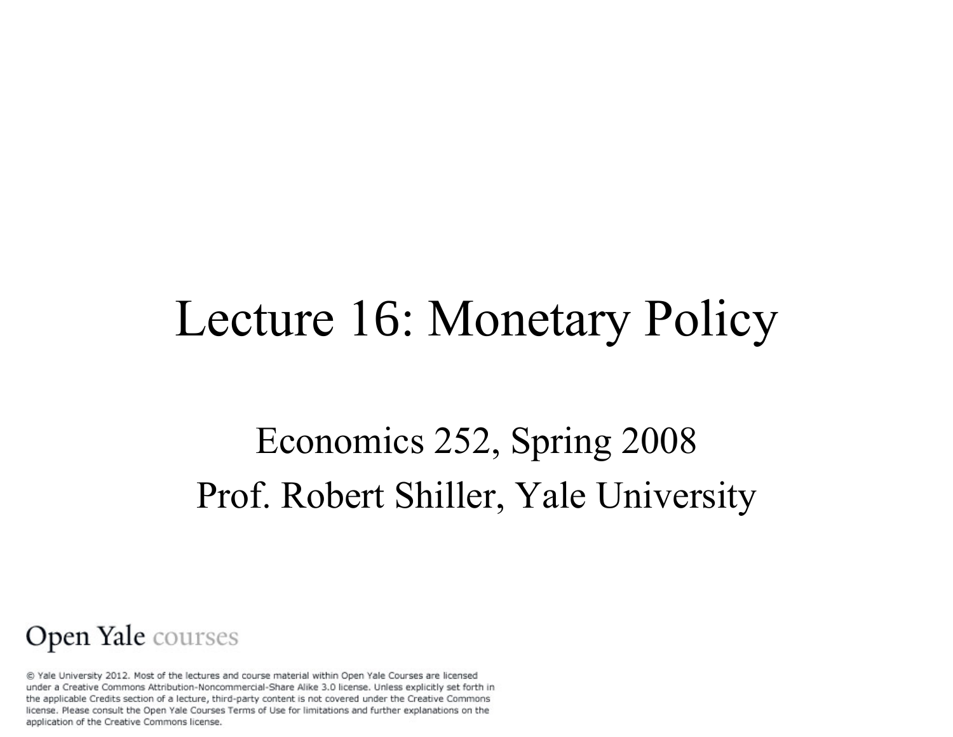### Lecture 16: Monetary Policy

### Economics 252, Spring 2008 Prof. Robert Shiller, Yale University

#### Open Yale courses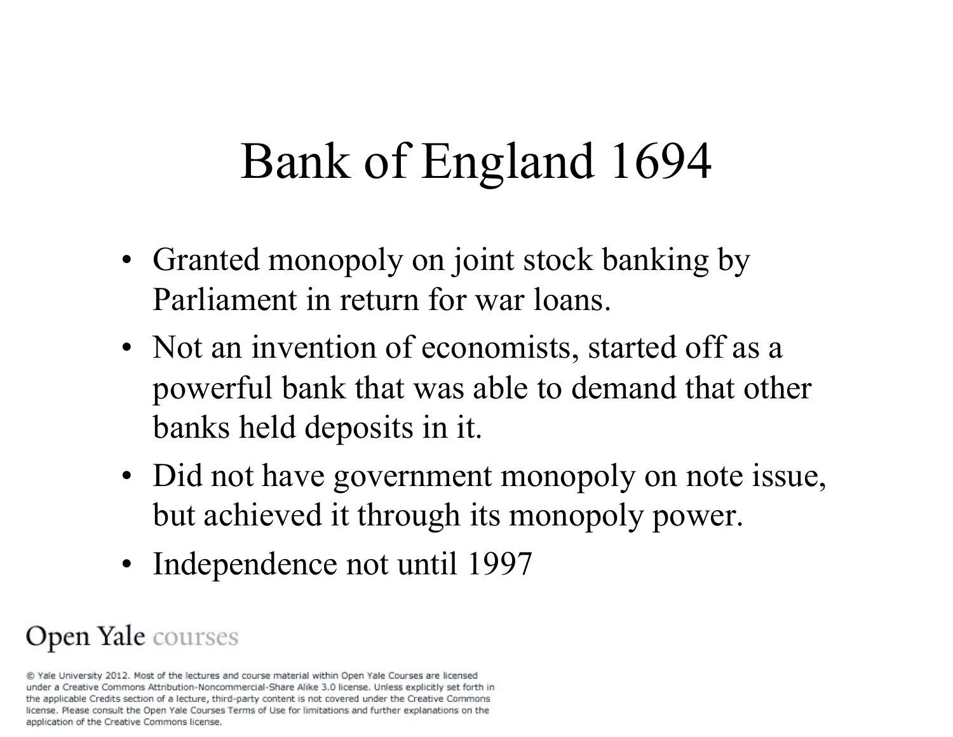# Bank of England 1694

- Granted monopoly on joint stock banking by Parliament in return for war loans.
- Not an invention of economists, started off as a powerful bank that was able to demand that other banks held deposits in it.
- Did not have government monopoly on note issue, but achieved it through its monopoly power.
- Independence not until 1997

#### Open Yale courses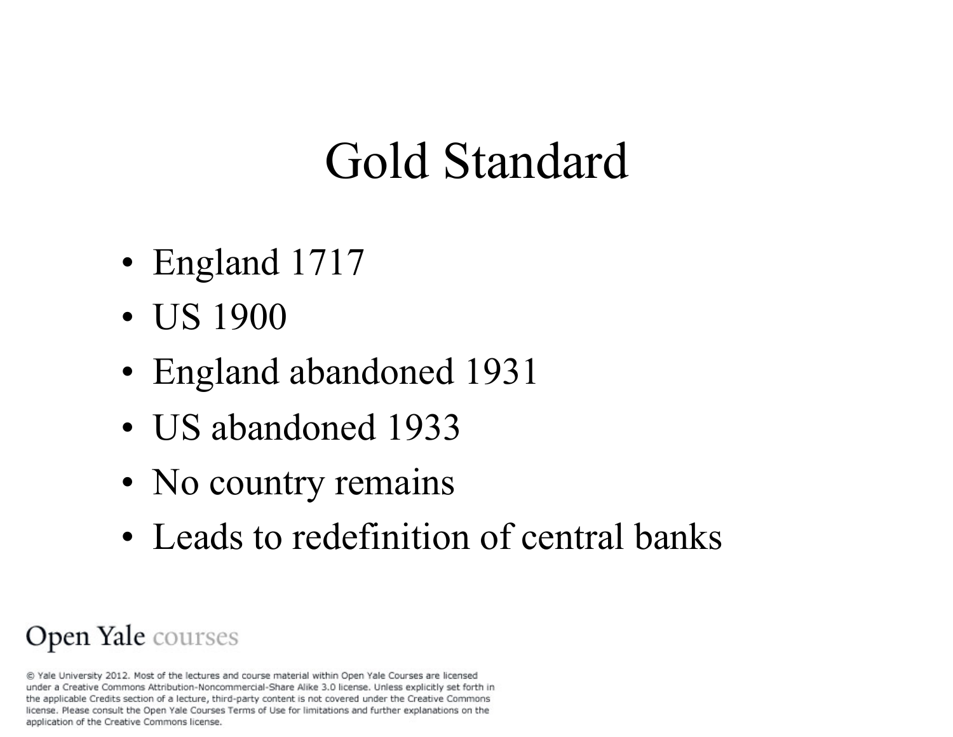# Gold Standard

- England 1717
- US 1900
- England abandoned 1931
- US abandoned 1933
- No country remains
- Leads to redefinition of central banks

#### Open Yale courses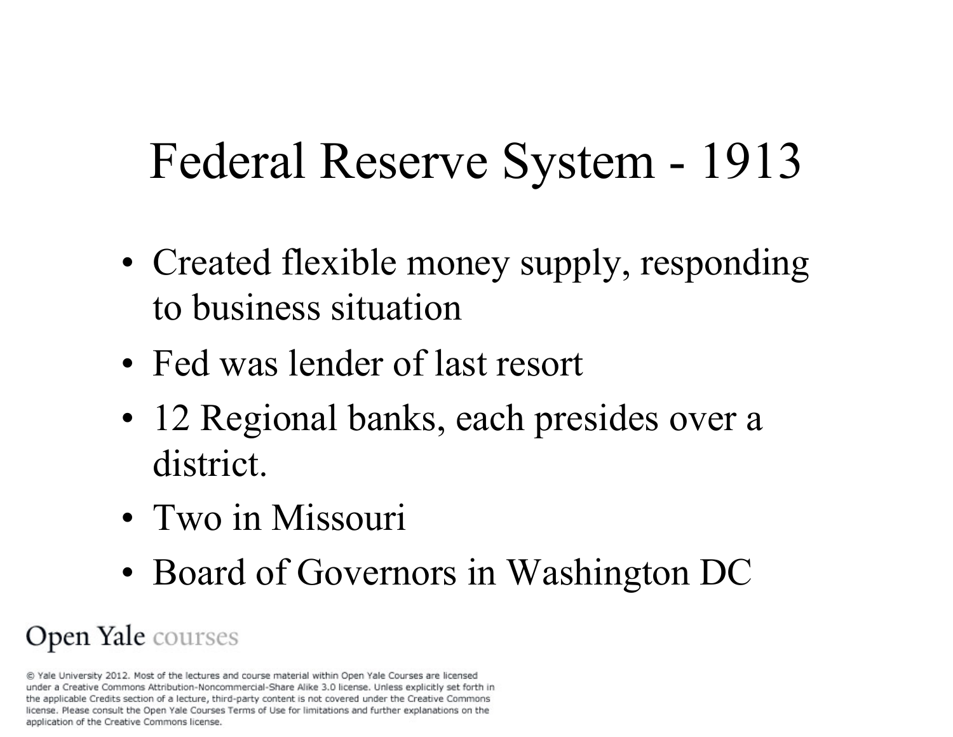# Federal Reserve System - 1913

- Created flexible money supply, responding to business situation
- Fed was lender of last resort
- 12 Regional banks, each presides over a district.
- Two in Missouri
- Board of Governors in Washington DC

#### Open Yale courses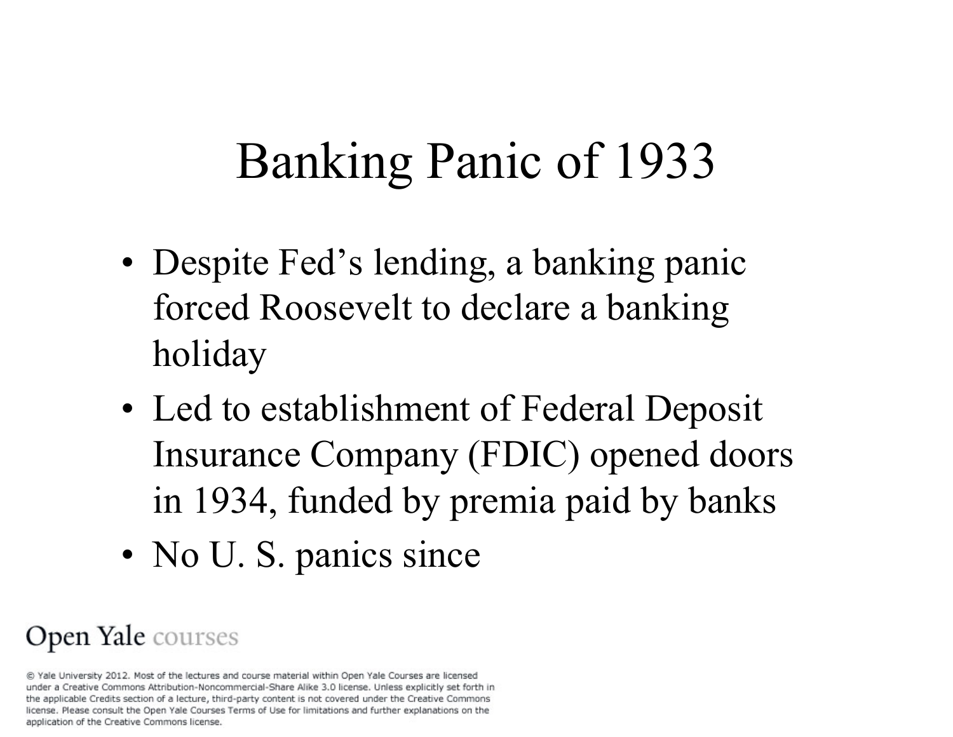# Banking Panic of 1933

- Despite Fed's lending, a banking panic forced Roosevelt to declare a banking holiday
- Led to establishment of Federal Deposit Insurance Company (FDIC) opened doors in 1934, funded by premia paid by banks
- No U. S. panics since

#### Open Yale courses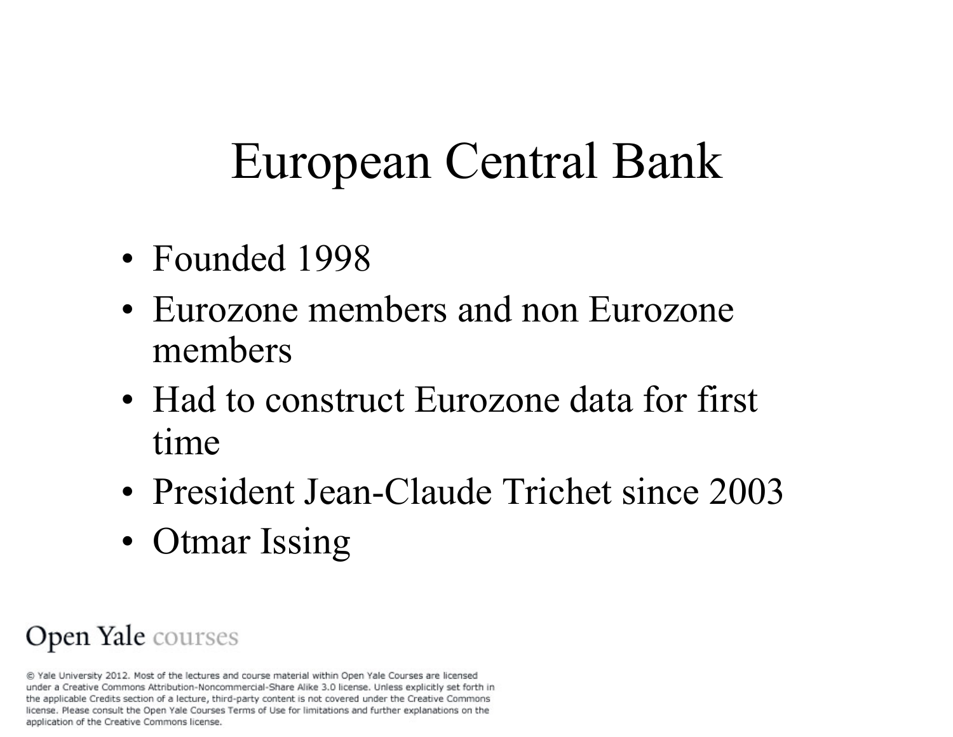# European Central Bank

- Founded 1998
- Eurozone members and non Eurozone members
- Had to construct Eurozone data for first time
- President Jean-Claude Trichet since 2003
- Otmar Issing

#### Open Yale courses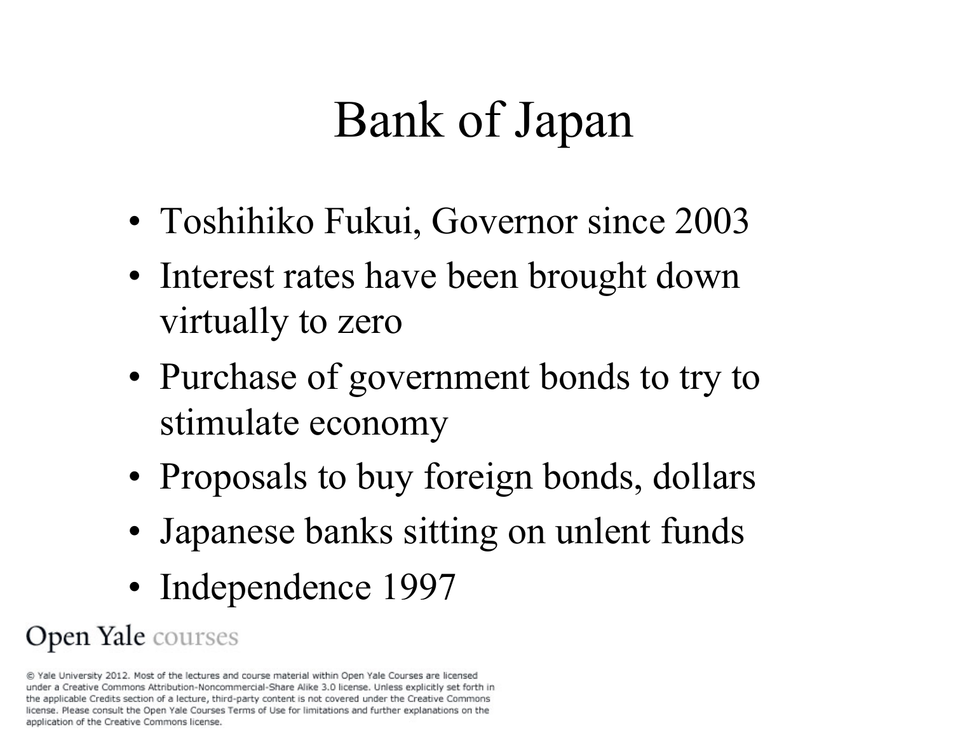# Bank of Japan

- Toshihiko Fukui, Governor since 2003
- Interest rates have been brought down virtually to zero
- Purchase of government bonds to try to stimulate economy
- Proposals to buy foreign bonds, dollars
- Japanese banks sitting on unlent funds
- Independence 1997

#### Open Yale courses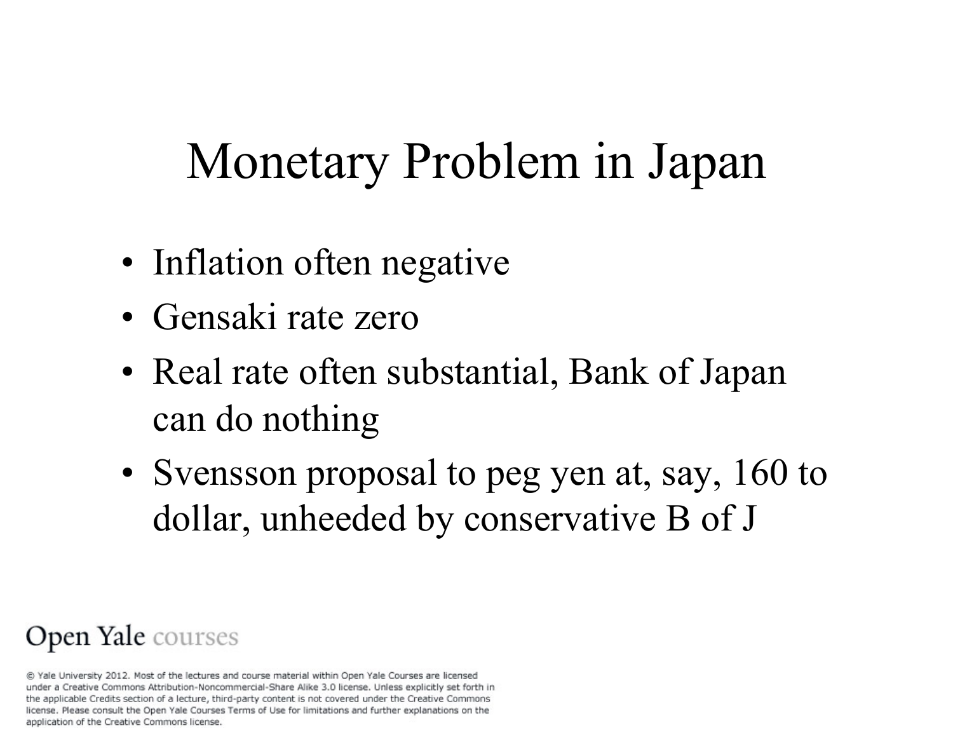# Monetary Problem in Japan

- Inflation often negative
- Gensaki rate zero
- Real rate often substantial, Bank of Japan can do nothing
- Svensson proposal to peg yen at, say, 160 to dollar, unheeded by conservative B of J

#### Open Yale courses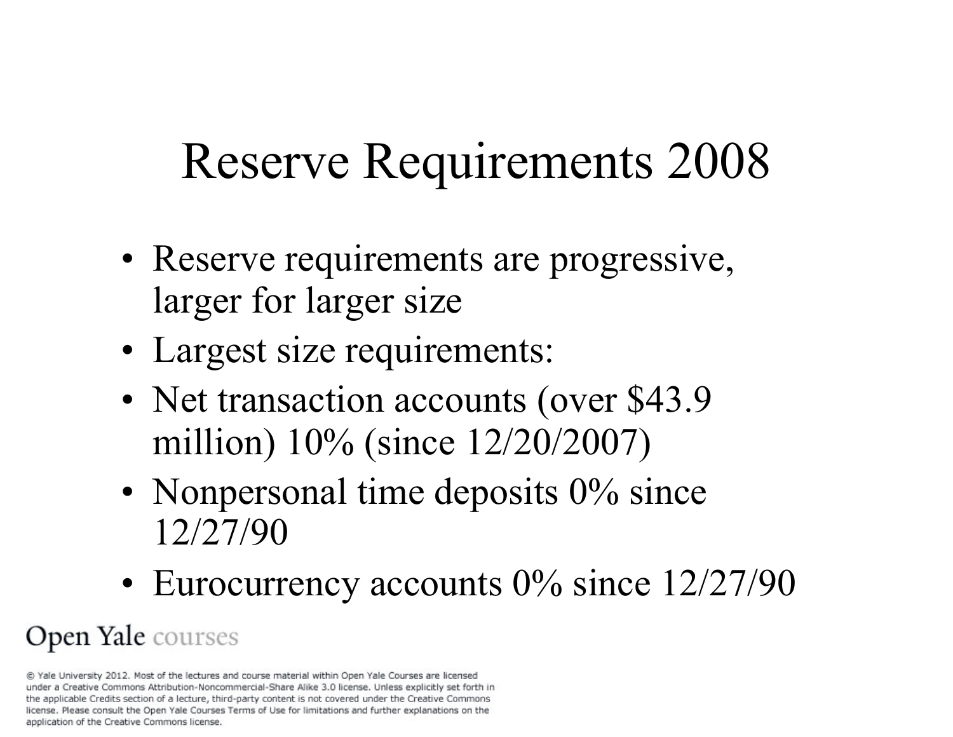# Reserve Requirements 2008

- Reserve requirements are progressive, larger for larger size
- Largest size requirements:
- Net transaction accounts (over \$43.9) million) 10% (since 12/20/2007)
- Nonpersonal time deposits 0% since 12/27/90
- Eurocurrency accounts 0% since 12/27/90

#### Open Yale courses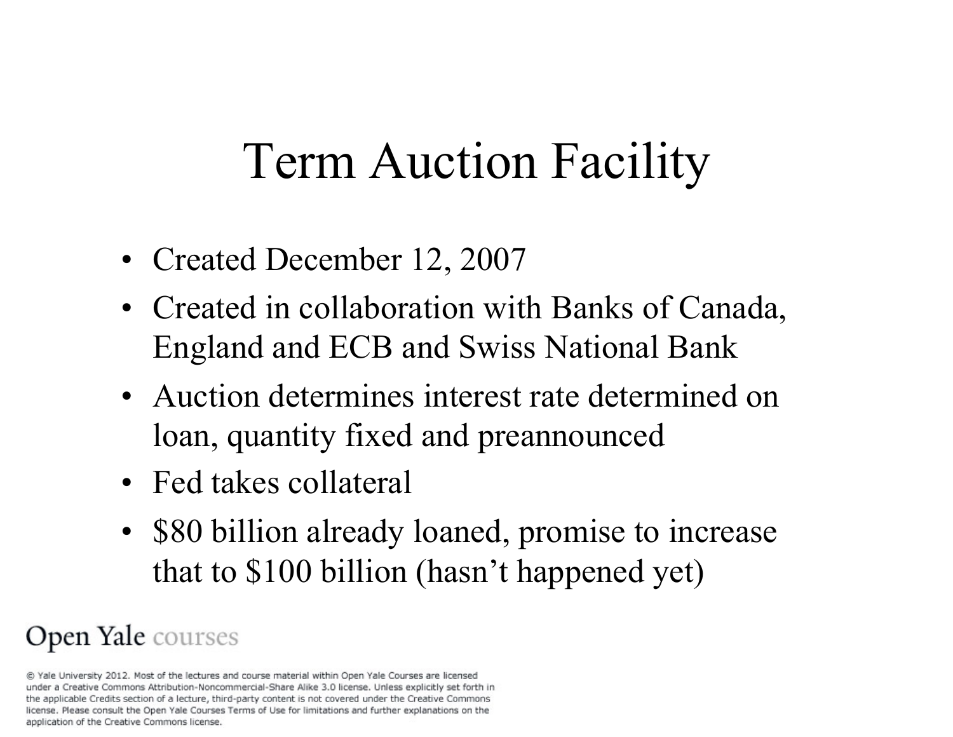# Term Auction Facility

- Created December 12, 2007
- Created in collaboration with Banks of Canada, England and ECB and Swiss National Bank
- Auction determines interest rate determined on loan, quantity fixed and preannounced
- Fed takes collateral
- \$80 billion already loaned, promise to increase that to \$100 billion (hasn't happened yet)

#### Open Yale courses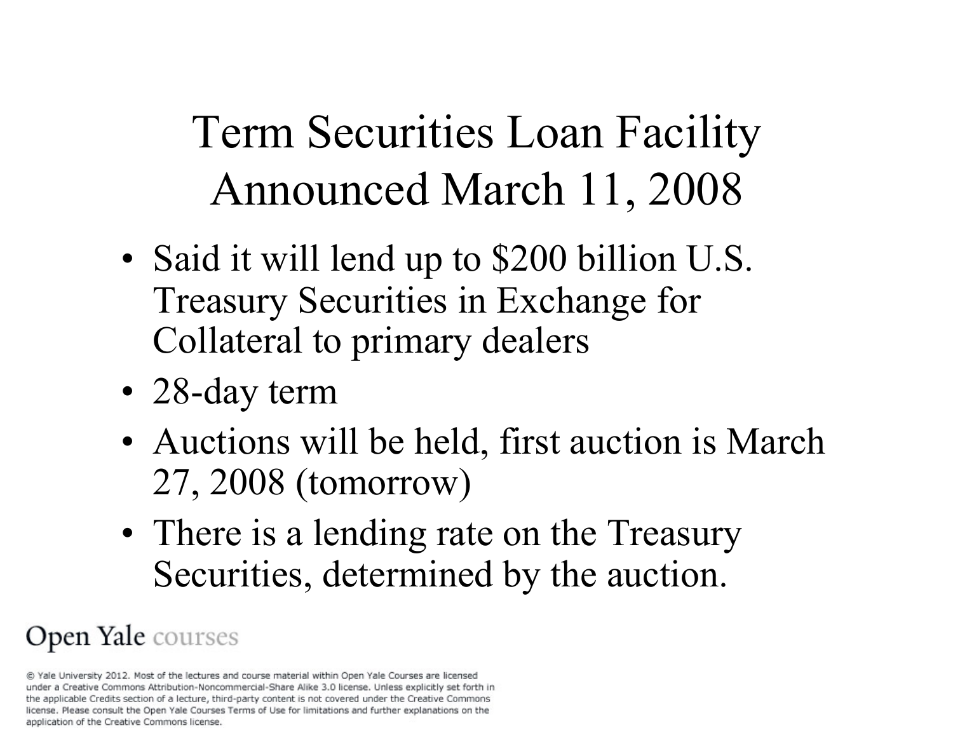### Term Securities Loan Facility Announced March 11, 2008

- Said it will lend up to \$200 billion U.S. Treasury Securities in Exchange for Collateral to primary dealers
- 28-day term
- Auctions will be held, first auction is March 27, 2008 (tomorrow)
- There is a lending rate on the Treasury Securities, determined by the auction.

#### Open Yale courses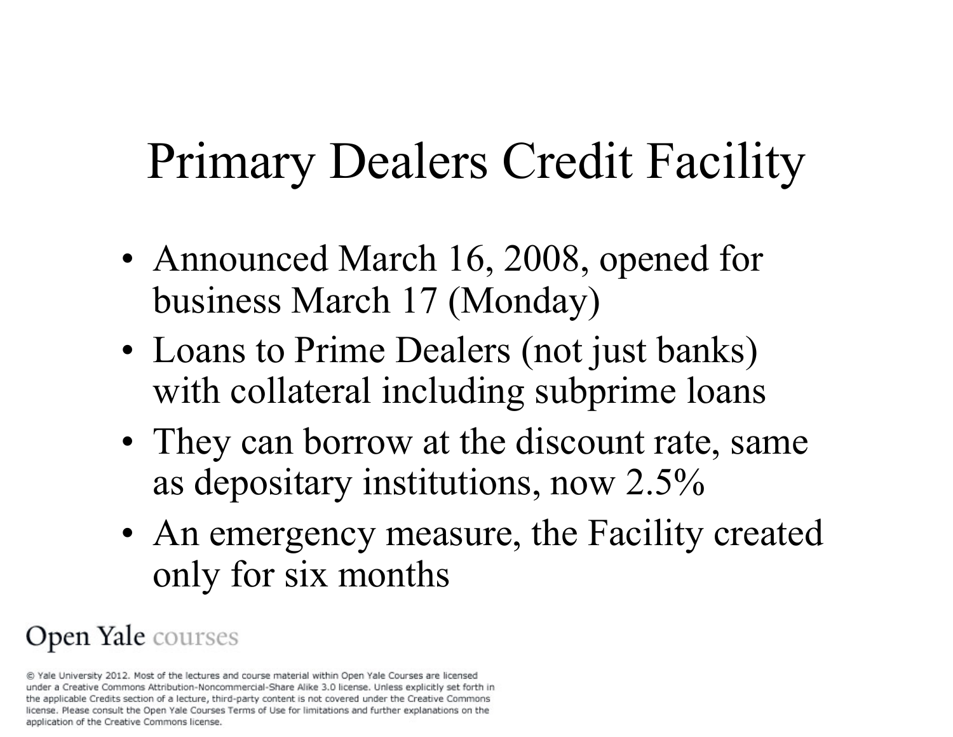# Primary Dealers Credit Facility

- Announced March 16, 2008, opened for business March 17 (Monday)
- Loans to Prime Dealers (not just banks) with collateral including subprime loans
- They can borrow at the discount rate, same as depositary institutions, now 2.5%
- An emergency measure, the Facility created only for six months

#### Open Yale courses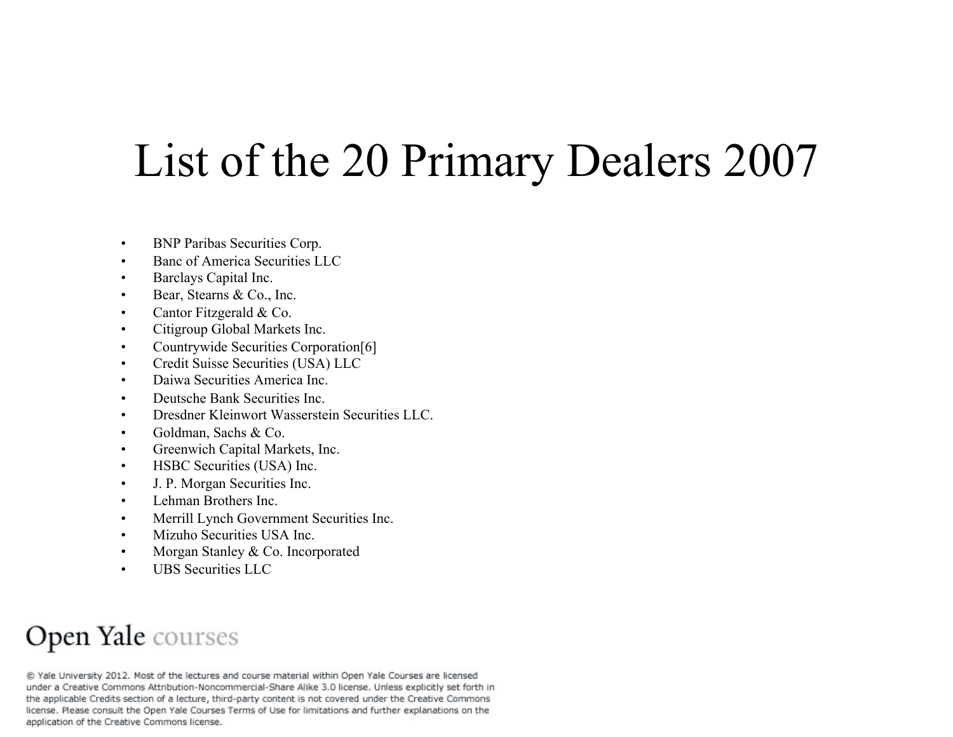### List of the 20 Primary Dealers 2007

- BNP Paribas Securities Corp.
- Banc of America Securities LLC
- Barclays Capital Inc.
- Bear, Stearns & Co., Inc.
- Cantor Fitzgerald & Co.
- Citigroup Global Markets Inc.
- Countrywide Securities Corporation[6]
- Credit Suisse Securities (USA) LLC
- Daiwa Securities America Inc.
- Deutsche Bank Securities Inc.
- Dresdner Kleinwort Wasserstein Securities LLC.
- Goldman, Sachs & Co.
- Greenwich Capital Markets, Inc.
- HSBC Securities (USA) Inc.
- J. P. Morgan Securities Inc.
- Lehman Brothers Inc.
- Merrill Lynch Government Securities Inc.
- Mizuho Securities USA Inc.
- Morgan Stanley & Co. Incorporated
- UBS Securities LLC

#### Open Yale courses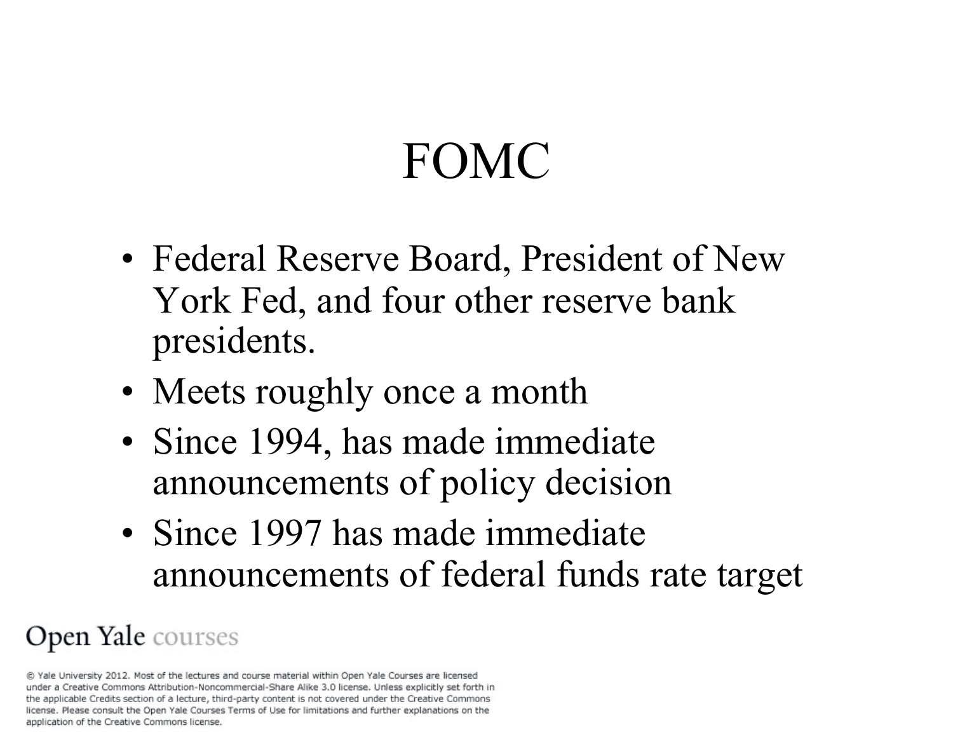# FOMC

- Federal Reserve Board, President of New York Fed, and four other reserve bank presidents.
- Meets roughly once a month
- Since 1994, has made immediate announcements of policy decision
- Since 1997 has made immediate announcements of federal funds rate target

#### Open Yale courses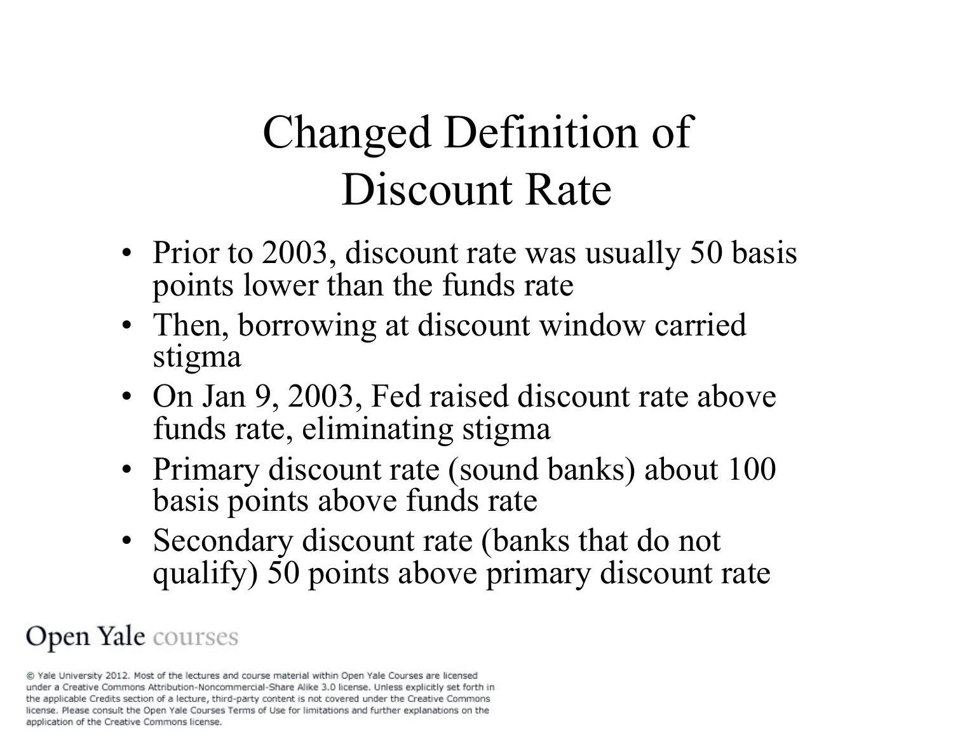### Changed Definition of Discount Rate

- Prior to 2003, discount rate was usually 50 basis points lower than the funds rate
- Then, borrowing at discount window carried stigma
- On Jan 9, 2003, Fed raised discount rate above funds rate, eliminating stigma
- Primary discount rate (sound banks) about 100 basis points above funds rate
- Secondary discount rate (banks that do not qualify) 50 points above primary discount rate

#### Open Yale courses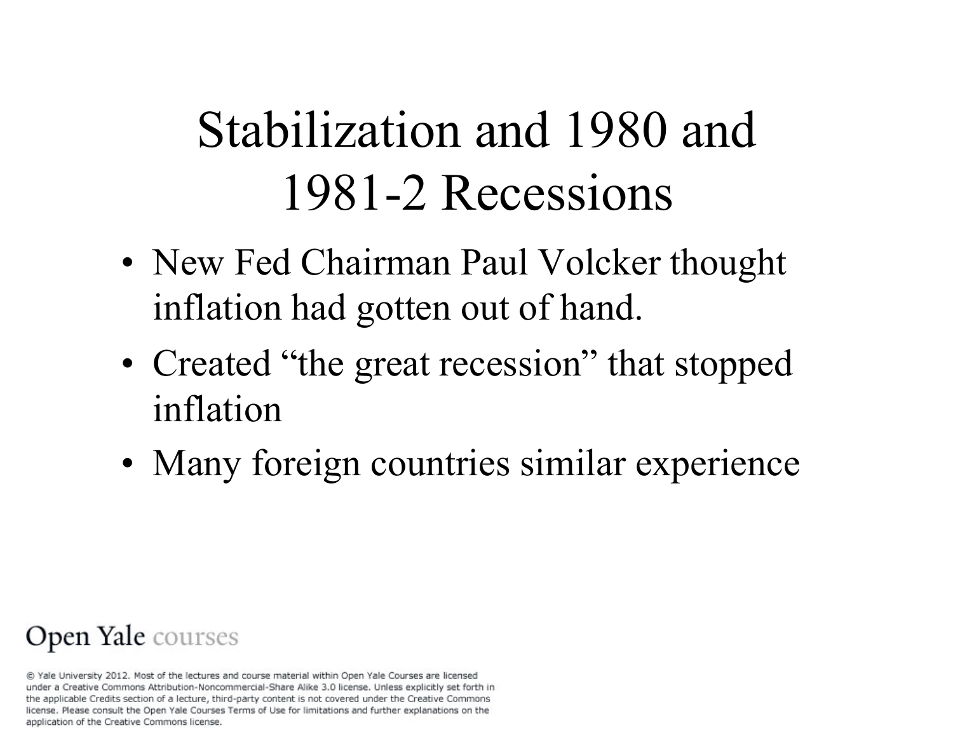# Stabilization and 1980 and 1981-2 Recessions

- New Fed Chairman Paul Volcker thought inflation had gotten out of hand.
- Created "the great recession" that stopped inflation
- Many foreign countries similar experience

#### Open Yale courses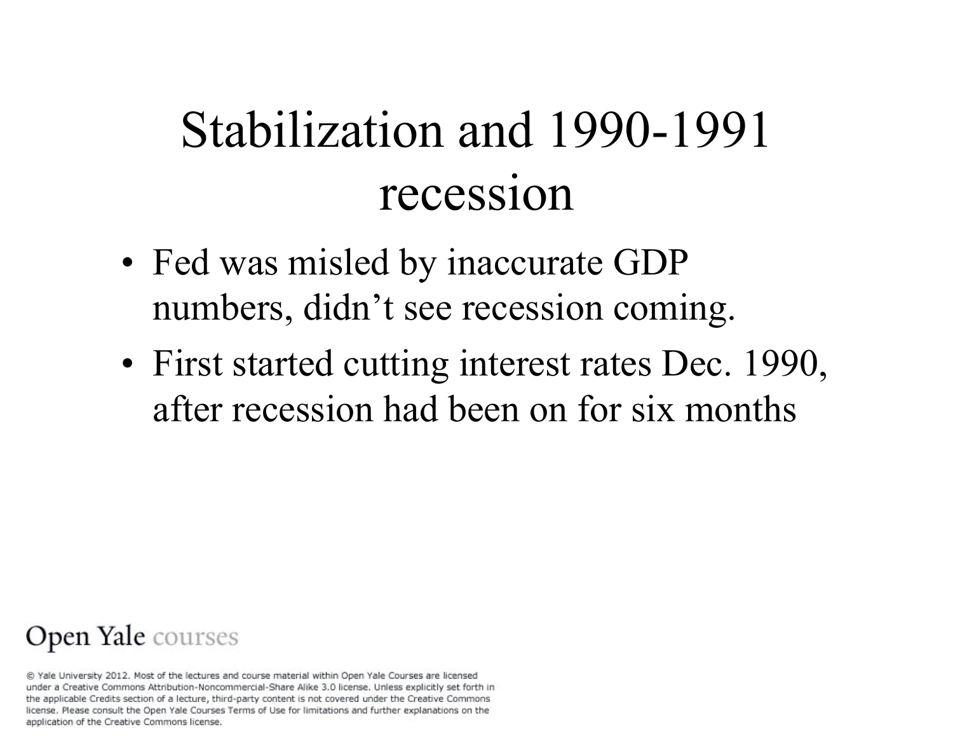# Stabilization and 1990-1991 recession

- Fed was misled by inaccurate GDP numbers, didn't see recession coming.
- First started cutting interest rates Dec. 1990, after recession had been on for six months

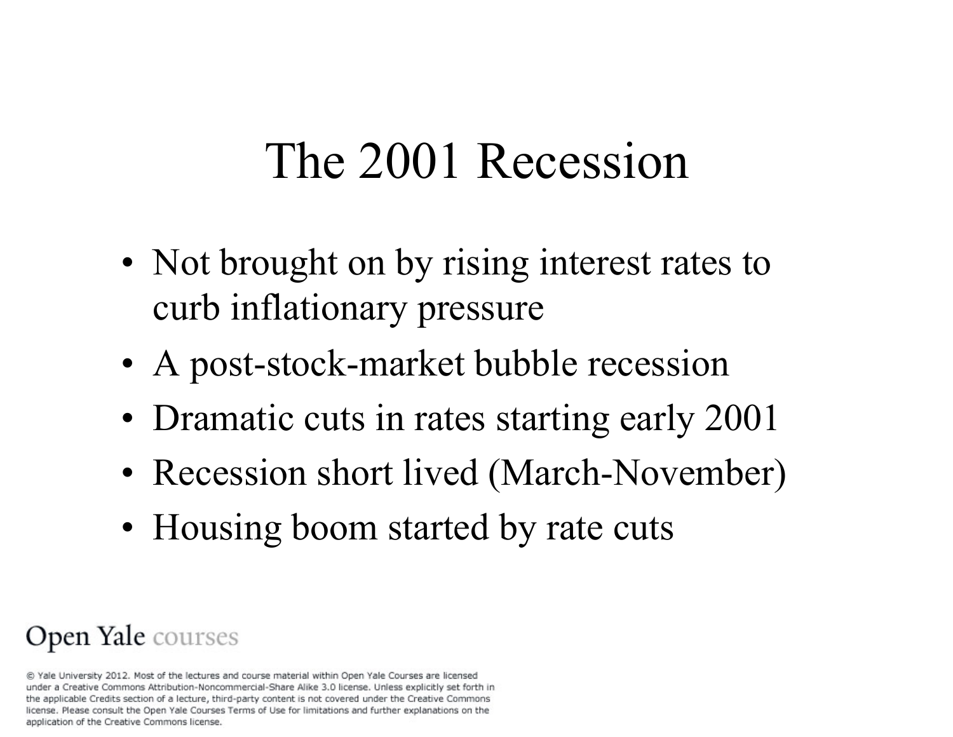## The 2001 Recession

- Not brought on by rising interest rates to curb inflationary pressure
- A post-stock-market bubble recession
- Dramatic cuts in rates starting early 2001
- Recession short lived (March-November)
- Housing boom started by rate cuts

#### Open Yale courses